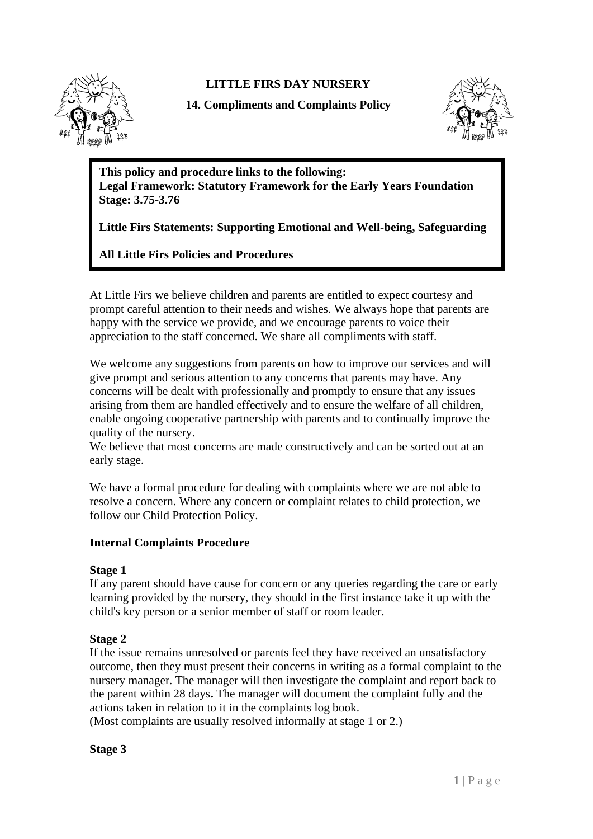

**LITTLE FIRS DAY NURSERY**

**14. Compliments and Complaints Policy**



**This policy and procedure links to the following: Legal Framework: Statutory Framework for the Early Years Foundation Stage: 3.75-3.76**

**Little Firs Statements: Supporting Emotional and Well-being, Safeguarding**

**All Little Firs Policies and Procedures**

At Little Firs we believe children and parents are entitled to expect courtesy and prompt careful attention to their needs and wishes. We always hope that parents are happy with the service we provide, and we encourage parents to voice their appreciation to the staff concerned. We share all compliments with staff.

We welcome any suggestions from parents on how to improve our services and will give prompt and serious attention to any concerns that parents may have. Any concerns will be dealt with professionally and promptly to ensure that any issues arising from them are handled effectively and to ensure the welfare of all children, enable ongoing cooperative partnership with parents and to continually improve the quality of the nursery.

We believe that most concerns are made constructively and can be sorted out at an early stage.

We have a formal procedure for dealing with complaints where we are not able to resolve a concern. Where any concern or complaint relates to child protection, we follow our Child Protection Policy.

# **Internal Complaints Procedure**

# **Stage 1**

If any parent should have cause for concern or any queries regarding the care or early learning provided by the nursery, they should in the first instance take it up with the child's key person or a senior member of staff or room leader.

# **Stage 2**

If the issue remains unresolved or parents feel they have received an unsatisfactory outcome, then they must present their concerns in writing as a formal complaint to the nursery manager. The manager will then investigate the complaint and report back to the parent within 28 days**.** The manager will document the complaint fully and the actions taken in relation to it in the complaints log book.

(Most complaints are usually resolved informally at stage 1 or 2.)

**Stage 3**